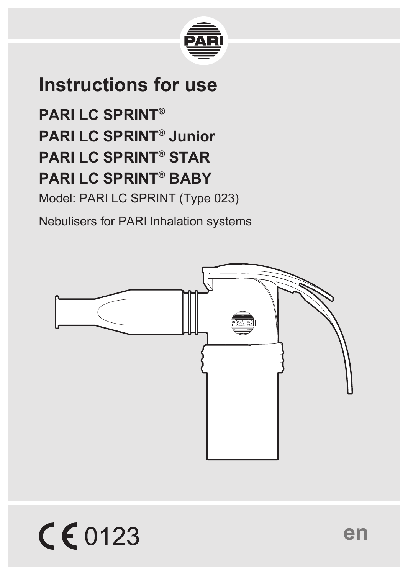

# **Instructions for use**

**PARI LC SPRINT® PARI LC SPRINT® Junior PARI LC SPRINT® STAR PARI LC SPRINT® BABY**

Model: PARI LC SPRINT (Type 023)

Nebulisers for PARI lnhalation systems



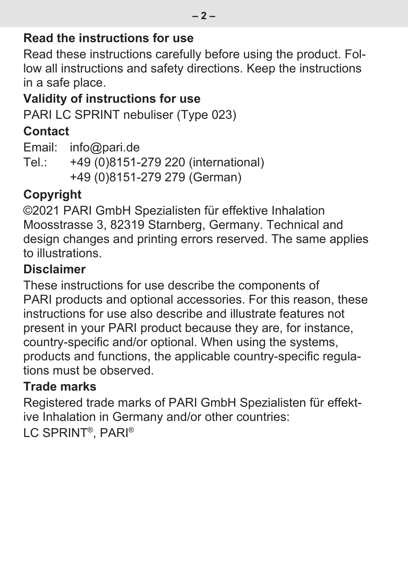#### **Read the instructions for use**

Read these instructions carefully before using the product. Follow all instructions and safety directions. Keep the instructions in a safe place.

#### **Validity of instructions for use**

PARI LC SPRINT nebuliser (Type 023)

#### **Contact**

Email: info@pari.de Tel.: +49 (0)8151-279 220 (international) +49 (0)8151-279 279 (German)

#### **Copyright**

©2021 PARI GmbH Spezialisten für effektive Inhalation Moosstrasse 3, 82319 Starnberg, Germany. Technical and design changes and printing errors reserved. The same applies to illustrations.

#### **Disclaimer**

These instructions for use describe the components of PARI products and optional accessories. For this reason, these instructions for use also describe and illustrate features not present in your PARI product because they are, for instance, country-specific and/or optional. When using the systems, products and functions, the applicable country-specific regulations must be observed.

#### **Trade marks**

Registered trade marks of PARI GmbH Spezialisten für effektive Inhalation in Germany and/or other countries: LC SPRINT® , PARI®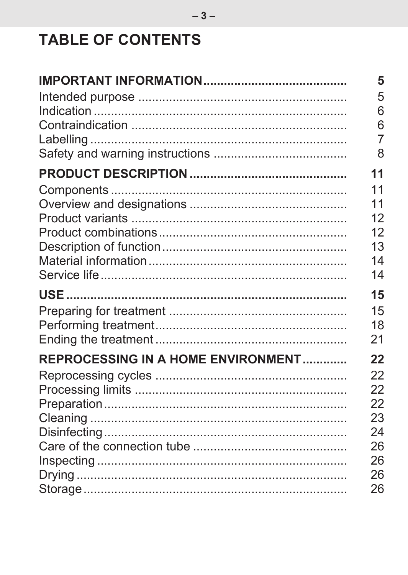## **TABLE OF CONTENTS**

|                                    | 5  |
|------------------------------------|----|
|                                    | 5  |
|                                    | 6  |
|                                    | 6  |
|                                    | 7  |
|                                    | 8  |
|                                    | 11 |
|                                    | 11 |
|                                    | 11 |
|                                    | 12 |
|                                    | 12 |
|                                    | 13 |
|                                    | 14 |
|                                    | 14 |
|                                    | 15 |
|                                    | 15 |
|                                    | 18 |
|                                    | 21 |
| REPROCESSING IN A HOME ENVIRONMENT | 22 |
|                                    | 22 |
|                                    | 22 |
|                                    | 22 |
|                                    | 23 |
|                                    | 24 |
|                                    | 26 |
|                                    | 26 |
|                                    | 26 |
|                                    | 26 |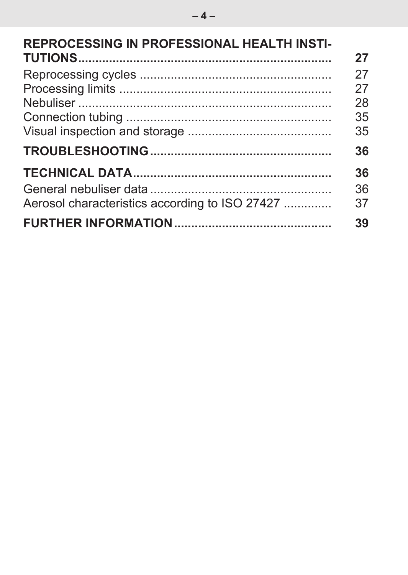| <b>REPROCESSING IN PROFESSIONAL HEALTH INSTI-</b> | 27       |
|---------------------------------------------------|----------|
|                                                   | 27       |
|                                                   | 27<br>28 |
|                                                   | 35       |
|                                                   | 35       |
|                                                   | 36       |
|                                                   | 36       |
|                                                   | 36       |
| Aerosol characteristics according to ISO 27427    | 37       |
|                                                   | 39       |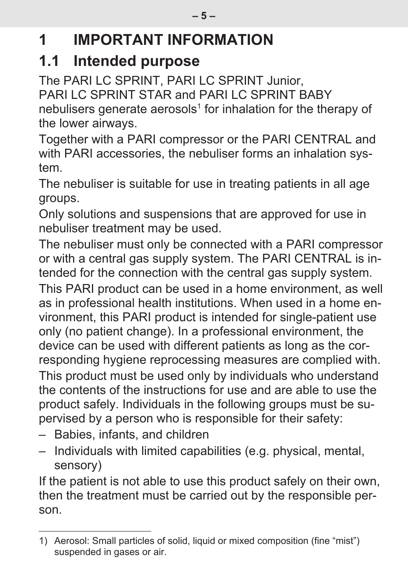# <span id="page-4-0"></span>**1 IMPORTANT INFORMATION**

### <span id="page-4-1"></span>**1.1 Intended purpose**

The PARI LC SPRINT, PARI LC SPRINT Junior, PARI LC SPRINT STAR and PARI LC SPRINT BABY nebulisers generate aerosols<sup>1</sup> for inhalation for the therapy of the lower airways.

Together with a PARI compressor or the PARI CENTRAL and with PARI accessories, the nebuliser forms an inhalation system.

The nebuliser is suitable for use in treating patients in all age groups.

Only solutions and suspensions that are approved for use in nebuliser treatment may be used.

The nebuliser must only be connected with a PARI compressor or with a central gas supply system. The PARI CENTRAL is intended for the connection with the central gas supply system.

This PARI product can be used in a home environment, as well as in professional health institutions. When used in a home environment, this PARI product is intended for single-patient use only (no patient change). In a professional environment, the device can be used with different patients as long as the corresponding hygiene reprocessing measures are complied with. This product must be used only by individuals who understand the contents of the instructions for use and are able to use the product safely. Individuals in the following groups must be supervised by a person who is responsible for their safety:

- Babies, infants, and children
- Individuals with limited capabilities (e.g. physical, mental, sensory)

If the patient is not able to use this product safely on their own, then the treatment must be carried out by the responsible person.

<sup>1)</sup> Aerosol: Small particles of solid, liquid or mixed composition (fine "mist") suspended in gases or air.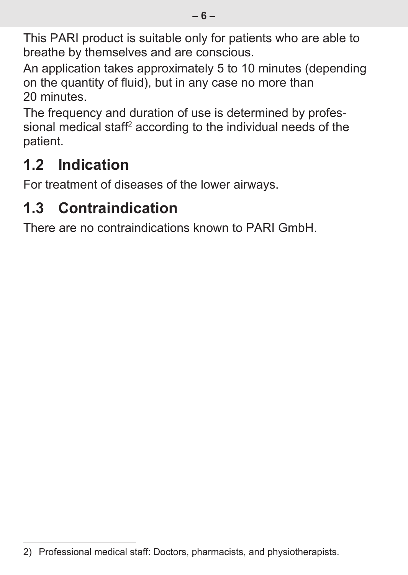This PARI product is suitable only for patients who are able to breathe by themselves and are conscious.

An application takes approximately 5 to 10 minutes (depending on the quantity of fluid), but in any case no more than 20 minutes.

The frequency and duration of use is determined by professional medical staff $^2$  according to the individual needs of the patient.

# <span id="page-5-0"></span>**1.2 Indication**

For treatment of diseases of the lower airways.

# <span id="page-5-1"></span>**1.3 Contraindication**

There are no contraindications known to PARI GmbH.

<sup>2)</sup> Professional medical staff: Doctors, pharmacists, and physiotherapists.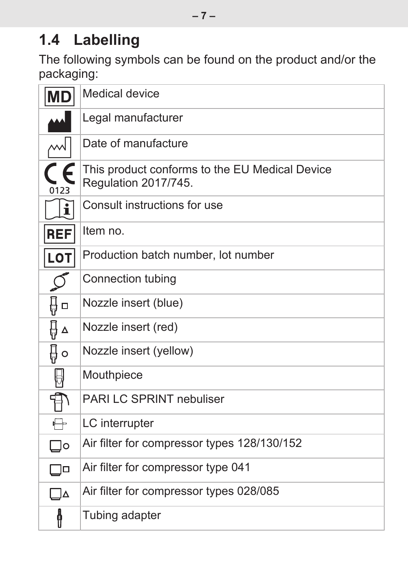## <span id="page-6-0"></span>**1.4 Labelling**

The following symbols can be found on the product and/or the packaging:

| MD           | Medical device                                                         |
|--------------|------------------------------------------------------------------------|
|              | Legal manufacturer                                                     |
|              | Date of manufacture                                                    |
| 0123         | This product conforms to the EU Medical Device<br>Regulation 2017/745. |
| $\mathbf{i}$ | Consult instructions for use                                           |
| <b>REF</b>   | Item no.                                                               |
| LOT          | Production batch number, lot number                                    |
|              | Connection tubing                                                      |
| ∯□           | Nozzle insert (blue)                                                   |
| 且ᅀ           | Nozzle insert (red)                                                    |
| ₿о           | Nozzle insert (yellow)                                                 |
| ₩            | Mouthpiece                                                             |
| Ā            | PARI LC SPRINT nebuliser                                               |
| ╄            | LC interrupter                                                         |
| ס⊑           | Air filter for compressor types 128/130/152                            |
| ┒□           | Air filter for compressor type 041                                     |
| ❏▵           | Air filter for compressor types 028/085                                |
| ł            | Tubing adapter                                                         |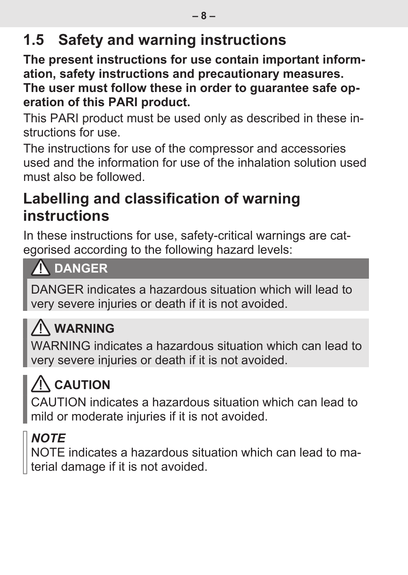## <span id="page-7-0"></span>**1.5 Safety and warning instructions**

**The present instructions for use contain important information, safety instructions and precautionary measures. The user must follow these in order to guarantee safe operation of this PARI product.**

This PARI product must be used only as described in these instructions for use.

The instructions for use of the compressor and accessories used and the information for use of the inhalation solution used must also be followed.

### **Labelling and classification of warning instructions**

In these instructions for use, safety-critical warnings are categorised according to the following hazard levels:

### **A** DANGER

DANGER indicates a hazardous situation which will lead to very severe injuries or death if it is not avoided.

# **WARNING**

WARNING indicates a hazardous situation which can lead to very severe injuries or death if it is not avoided.

# **CAUTION**

CAUTION indicates a hazardous situation which can lead to mild or moderate injuries if it is not avoided.

## *NOTE*

NOTE indicates a hazardous situation which can lead to material damage if it is not avoided.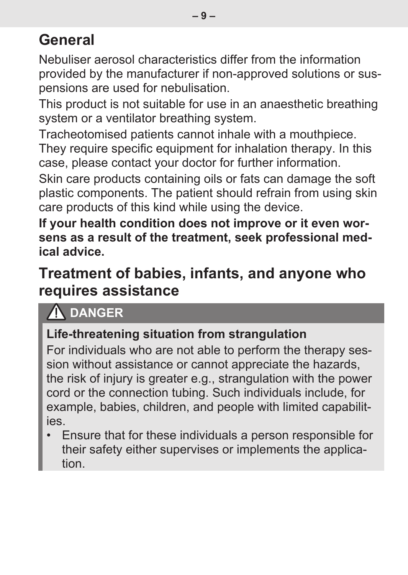## **General**

Nebuliser aerosol characteristics differ from the information provided by the manufacturer if non-approved solutions or suspensions are used for nebulisation.

This product is not suitable for use in an anaesthetic breathing system or a ventilator breathing system.

Tracheotomised patients cannot inhale with a mouthpiece. They require specific equipment for inhalation therapy. In this case, please contact your doctor for further information.

Skin care products containing oils or fats can damage the soft plastic components. The patient should refrain from using skin care products of this kind while using the device.

**If your health condition does not improve or it even worsens as a result of the treatment, seek professional medical advice.**

### **Treatment of babies, infants, and anyone who requires assistance**

### **DANGER**

#### **Life-threatening situation from strangulation**

For individuals who are not able to perform the therapy session without assistance or cannot appreciate the hazards, the risk of injury is greater e.g., strangulation with the power cord or the connection tubing. Such individuals include, for example, babies, children, and people with limited capabilities.

• Ensure that for these individuals a person responsible for their safety either supervises or implements the application.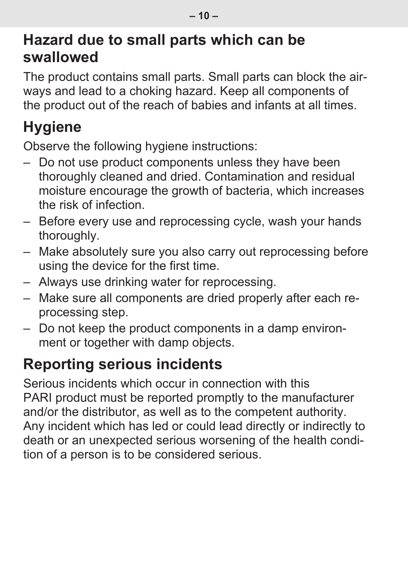### **Hazard due to small parts which can be swallowed**

The product contains small parts. Small parts can block the airways and lead to a choking hazard. Keep all components of the product out of the reach of babies and infants at all times.

# **Hygiene**

Observe the following hygiene instructions:

- Do not use product components unless they have been thoroughly cleaned and dried. Contamination and residual moisture encourage the growth of bacteria, which increases the risk of infection.
- Before every use and reprocessing cycle, wash your hands thoroughly.
- Make absolutely sure you also carry out reprocessing before using the device for the first time.
- Always use drinking water for reprocessing.
- Make sure all components are dried properly after each reprocessing step.
- Do not keep the product components in a damp environment or together with damp objects.

## **Reporting serious incidents**

Serious incidents which occur in connection with this PARI product must be reported promptly to the manufacturer and/or the distributor, as well as to the competent authority. Any incident which has led or could lead directly or indirectly to death or an unexpected serious worsening of the health condition of a person is to be considered serious.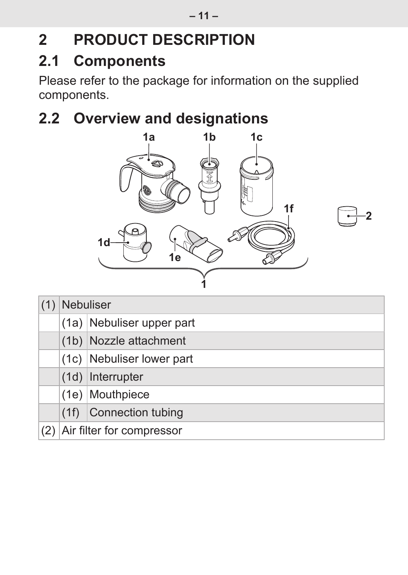# <span id="page-10-0"></span>**2 PRODUCT DESCRIPTION**

### <span id="page-10-1"></span>**2.1 Components**

Please refer to the package for information on the supplied components.

# **2.2 Overview and designations**

<span id="page-10-2"></span>

| Nebuliser                     |                           |  |  |  |
|-------------------------------|---------------------------|--|--|--|
|                               | (1a) Nebuliser upper part |  |  |  |
| (1b) Nozzle attachment        |                           |  |  |  |
| (1c) Nebuliser lower part     |                           |  |  |  |
| $(1d)$ Interrupter            |                           |  |  |  |
| (1e) Mouthpiece               |                           |  |  |  |
|                               | $(1f)$ Connection tubing  |  |  |  |
| (2) Air filter for compressor |                           |  |  |  |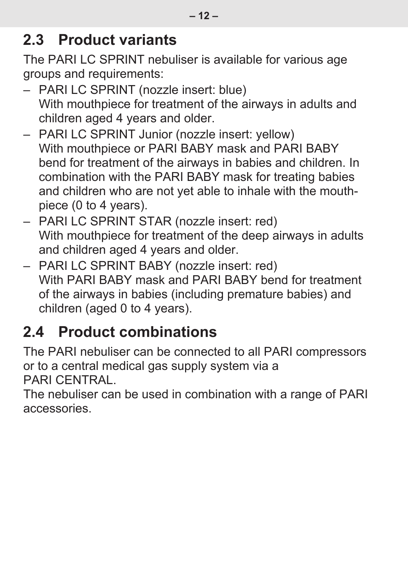### <span id="page-11-0"></span>**2.3 Product variants**

The PARI LC SPRINT nebuliser is available for various age groups and requirements:

- PARI LC SPRINT (nozzle insert: blue) With mouthpiece for treatment of the airways in adults and children aged 4 years and older.
- PARI LC SPRINT Junior (nozzle insert: yellow) With mouthpiece or PARI BABY mask and PARI BABY bend for treatment of the airways in babies and children. In combination with the PARI BABY mask for treating babies and children who are not yet able to inhale with the mouthpiece (0 to 4 years).
- PARI LC SPRINT STAR (nozzle insert: red) With mouthpiece for treatment of the deep airways in adults and children aged 4 years and older.
- PARI LC SPRINT BABY (nozzle insert: red) With PARI BABY mask and PARI BABY bend for treatment of the airways in babies (including premature babies) and children (aged 0 to 4 years).

## <span id="page-11-1"></span>**2.4 Product combinations**

The PARI nebuliser can be connected to all PARI compressors or to a central medical gas supply system via a PARI CENTRAL.

The nebuliser can be used in combination with a range of PARI accessories.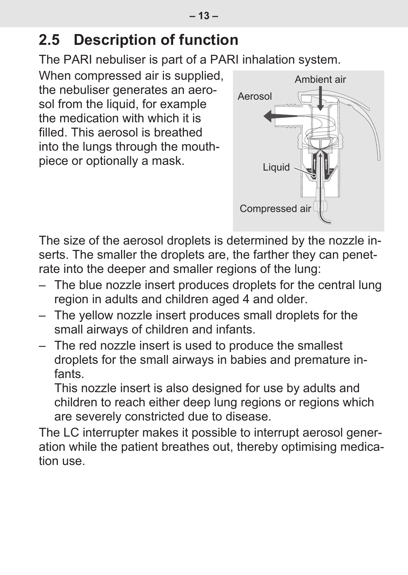### <span id="page-12-0"></span>**2.5 Description of function**

The PARI nebuliser is part of a PARI inhalation system.

When compressed air is supplied, the nebuliser generates an aerosol from the liquid, for example the medication with which it is filled. This aerosol is breathed. into the lungs through the mouthpiece or optionally a mask.



The size of the aerosol droplets is determined by the nozzle inserts. The smaller the droplets are, the farther they can penetrate into the deeper and smaller regions of the lung:

- The blue nozzle insert produces droplets for the central lung region in adults and children aged 4 and older.
- The yellow nozzle insert produces small droplets for the small airways of children and infants.
- The red nozzle insert is used to produce the smallest droplets for the small airways in babies and premature infants.

This nozzle insert is also designed for use by adults and children to reach either deep lung regions or regions which are severely constricted due to disease.

The LC interrupter makes it possible to interrupt aerosol generation while the patient breathes out, thereby optimising medication use.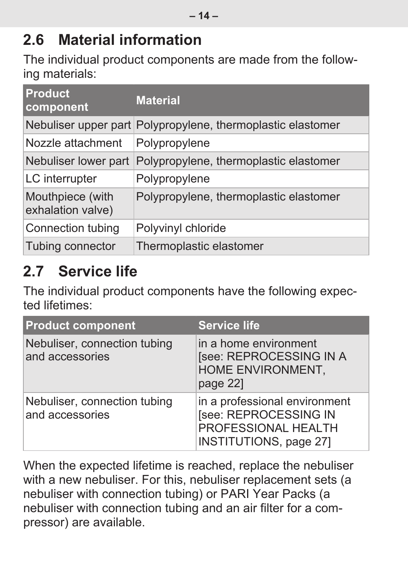### <span id="page-13-0"></span>**2.6 Material information**

The individual product components are made from the following materials:

| <b>Product</b><br>component           | <b>Material</b>                                             |
|---------------------------------------|-------------------------------------------------------------|
|                                       | Nebuliser upper part Polypropylene, thermoplastic elastomer |
| Nozzle attachment                     | Polypropylene                                               |
| Nebuliser lower part                  | Polypropylene, thermoplastic elastomer                      |
| LC interrupter                        | Polypropylene                                               |
| Mouthpiece (with<br>exhalation valve) | Polypropylene, thermoplastic elastomer                      |
| Connection tubing                     | Polyvinyl chloride                                          |
| Tubing connector                      | Thermoplastic elastomer                                     |

### <span id="page-13-1"></span>**2.7 Service life**

The individual product components have the following expected lifetimes:

| <b>Product component</b>                        | <b>Service life</b>                                                                                     |
|-------------------------------------------------|---------------------------------------------------------------------------------------------------------|
| Nebuliser, connection tubing<br>and accessories | in a home environment<br>[see: REPROCESSING IN A<br>HOME ENVIRONMENT,<br>page 22]                       |
| Nebuliser, connection tubing<br>and accessories | in a professional environment<br>[see: REPROCESSING IN<br>PROFESSIONAL HEALTH<br>INSTITUTIONS, page 27] |

When the expected lifetime is reached, replace the nebuliser with a new nebuliser. For this, nebuliser replacement sets (a nebuliser with connection tubing) or PARI Year Packs (a nebuliser with connection tubing and an air filter for a compressor) are available.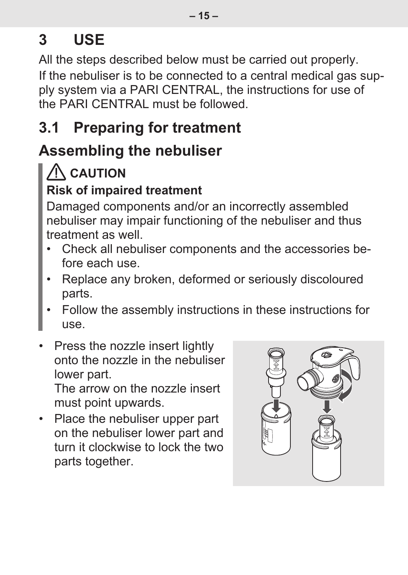# <span id="page-14-0"></span>**3 USE**

All the steps described below must be carried out properly. If the nebuliser is to be connected to a central medical gas supply system via a PARI CENTRAL, the instructions for use of the PARI CENTRAL must be followed.

### <span id="page-14-1"></span>**3.1 Preparing for treatment**

### **Assembling the nebuliser**

## **CAUTION**

#### **Risk of impaired treatment**

Damaged components and/or an incorrectly assembled nebuliser may impair functioning of the nebuliser and thus treatment as well.

- Check all nebuliser components and the accessories before each use.
- Replace any broken, deformed or seriously discoloured parts.
- Follow the assembly instructions in these instructions for use.
- Press the nozzle insert lightly onto the nozzle in the nebuliser lower part. The arrow on the nozzle insert

must point upwards.

• Place the nebuliser upper part on the nebuliser lower part and turn it clockwise to lock the two parts together.

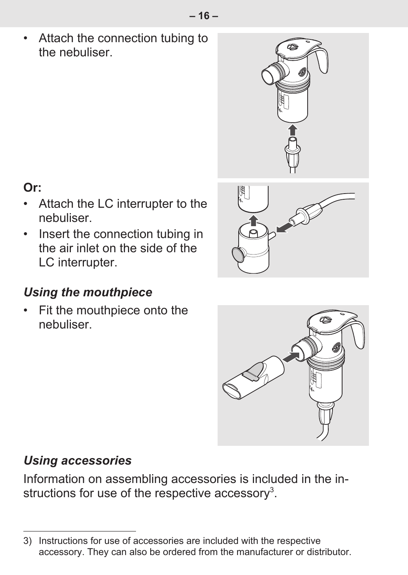• Attach the connection tubing to the nebuliser.



18

#### **Or:**

- Attach the LC interrupter to the nebuliser.
- Insert the connection tubing in the air inlet on the side of the LC interrupter.

#### *Using the mouthpiece*

• Fit the mouthpiece onto the nebuliser.



#### *Using accessories*

Information on assembling accessories is included in the instructions for use of the respective accessory $^3$ .

<sup>3)</sup> Instructions for use of accessories are included with the respective accessory. They can also be ordered from the manufacturer or distributor.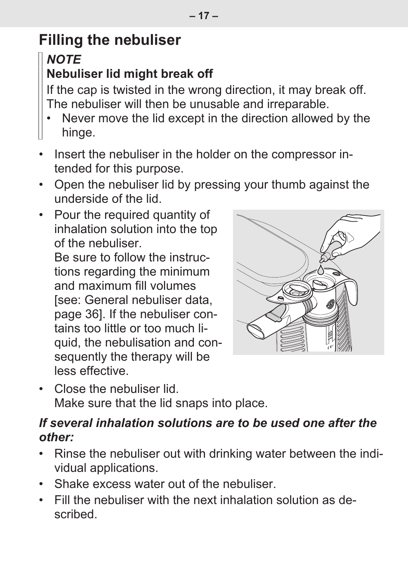# **Filling the nebuliser**

### *NOTE*

#### **Nebuliser lid might break off**

If the cap is twisted in the wrong direction, it may break off. The nebuliser will then be unusable and irreparable.

- Never move the lid except in the direction allowed by the hinge.
- Insert the nebuliser in the holder on the compressor intended for this purpose.
- Open the nebuliser lid by pressing your thumb against the underside of the lid.
- Pour the required quantity of inhalation solution into the top of the nebuliser.

Be sure to follow the instructions regarding the minimum and maximum fill volumes [\[see: General nebuliser data,](#page-35-2) [page 36\].](#page-35-2) If the nebuliser contains too little or too much liquid, the nebulisation and consequently the therapy will be less effective.



• Close the nebuliser lid. Make sure that the lid snaps into place.

#### *If several inhalation solutions are to be used one after the other:*

- Rinse the nebuliser out with drinking water between the individual applications.
- Shake excess water out of the nebuliser.
- Fill the nebuliser with the next inhalation solution as described.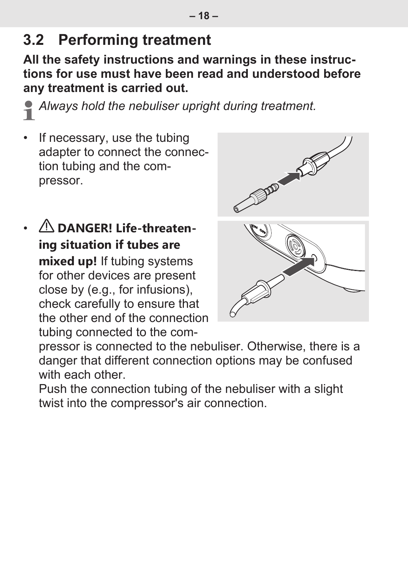### <span id="page-17-0"></span>**3.2 Performing treatment**

**All the safety instructions and warnings in these instructions for use must have been read and understood before any treatment is carried out.**

*Always hold the nebuliser upright during treatment.*

- If necessary, use the tubing adapter to connect the connection tubing and the compressor.
- **DANGER! Life-threatening situation if tubes are mixed up!** If tubing systems for other devices are present close by (e.g., for infusions), check carefully to ensure that the other end of the connection tubing connected to the com-



pressor is connected to the nebuliser. Otherwise, there is a danger that different connection options may be confused with each other.

Push the connection tubing of the nebuliser with a slight twist into the compressor's air connection.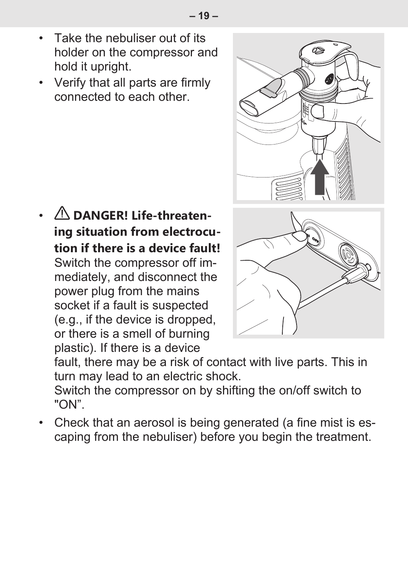- Take the nebuliser out of its holder on the compressor and hold it upright.
- Verify that all parts are firmly connected to each other.

•  **DANGER! Life-threatening situation from electrocution if there is a device fault!** Switch the compressor off immediately, and disconnect the power plug from the mains socket if a fault is suspected (e.g., if the device is dropped, or there is a smell of burning plastic). If there is a device



fault, there may be a risk of contact with live parts. This in turn may lead to an electric shock.

Switch the compressor on by shifting the on/off switch to "ON".

• Check that an aerosol is being generated (a fine mist is escaping from the nebuliser) before you begin the treatment.

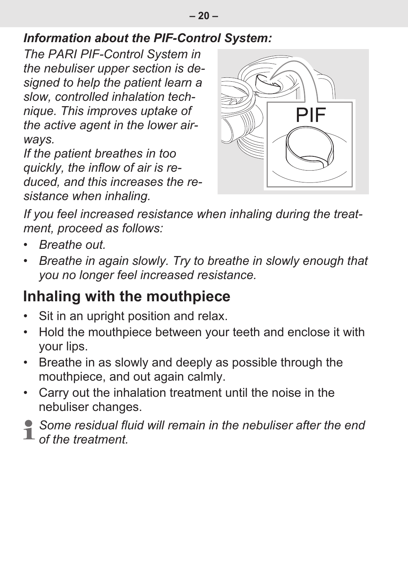#### *Information about the PIF-Control System:*

*The PARI PIF-Control System in the nebuliser upper section is designed to help the patient learn a slow, controlled inhalation technique. This improves uptake of the active agent in the lower airways.*

*If the patient breathes in too quickly, the inflow of air is reduced, and this increases the resistance when inhaling.*



*If you feel increased resistance when inhaling during the treatment, proceed as follows:*

- *Breathe out.*
- *Breathe in again slowly. Try to breathe in slowly enough that you no longer feel increased resistance.*

### **Inhaling with the mouthpiece**

- Sit in an upright position and relax.
- Hold the mouthpiece between your teeth and enclose it with your lips.
- Breathe in as slowly and deeply as possible through the mouthpiece, and out again calmly.
- Carry out the inhalation treatment until the noise in the nebuliser changes.
- *Some residual fluid will remain in the nebuliser after the end of the treatment.*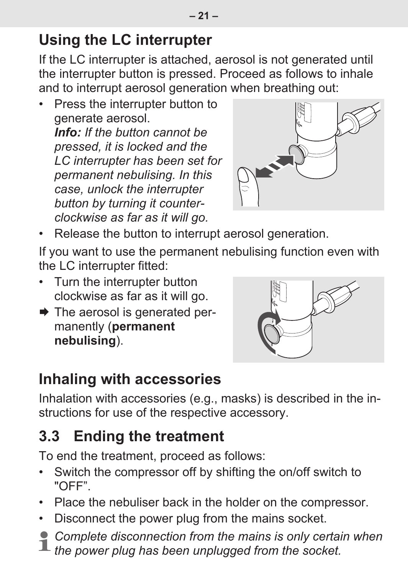## **Using the LC interrupter**

If the LC interrupter is attached, aerosol is not generated until the interrupter button is pressed. Proceed as follows to inhale and to interrupt aerosol generation when breathing out:

• Press the interrupter button to generate aerosol. *Info: If the button cannot be pressed, it is locked and the LC interrupter has been set for permanent nebulising. In this case, unlock the interrupter button by turning it counterclockwise as far as it will go.*



• Release the button to interrupt aerosol generation.

If you want to use the permanent nebulising function even with the LC interrupter fitted:

- Turn the interrupter button clockwise as far as it will go.
- $\rightarrow$  The aerosol is generated permanently (**permanent nebulising**).



### **Inhaling with accessories**

Inhalation with accessories (e.g., masks) is described in the instructions for use of the respective accessory.

## <span id="page-20-0"></span>**3.3 Ending the treatment**

To end the treatment, proceed as follows:

- Switch the compressor off by shifting the on/off switch to "OFF".
- Place the nebuliser back in the holder on the compressor.
- Disconnect the power plug from the mains socket.
- *Complete disconnection from the mains is only certain when the power plug has been unplugged from the socket.*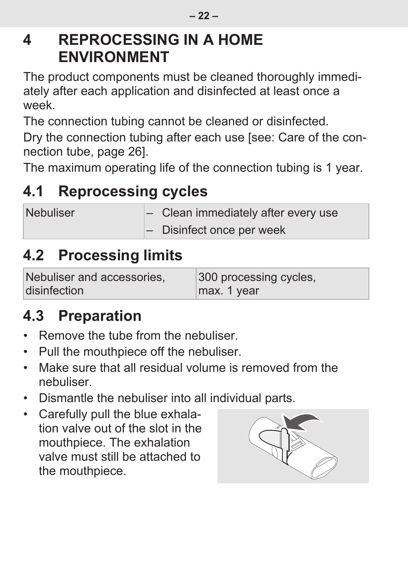### <span id="page-21-0"></span>**4 REPROCESSING IN A HOME ENVIRONMENT**

The product components must be cleaned thoroughly immediately after each application and disinfected at least once a week.

The connection tubing cannot be cleaned or disinfected.

Dry the connection tubing after each use [\[see: Care of the con](#page-25-0)[nection tube, page 26\]](#page-25-0).

The maximum operating life of the connection tubing is 1 year.

# <span id="page-21-1"></span>**4.1 Reprocessing cycles**

| <b>Nebuliser</b> | $\left  - \right $ Clean immediately after every use |
|------------------|------------------------------------------------------|
|                  | $\left  - \right $ Disinfect once per week           |

### <span id="page-21-2"></span>**4.2 Processing limits**

| Nebuliser and accessories. | 300 processing cycles, |
|----------------------------|------------------------|
| disinfection               | max. 1 year            |

## <span id="page-21-3"></span>**4.3 Preparation**

- Remove the tube from the nebuliser.
- Pull the mouthpiece off the nebuliser.
- Make sure that all residual volume is removed from the nebuliser.
- Dismantle the nebuliser into all individual parts.
- Carefully pull the blue exhalation valve out of the slot in the mouthpiece. The exhalation valve must still be attached to the mouthpiece.

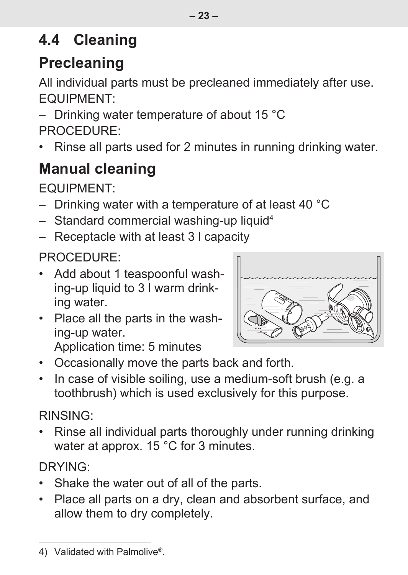# <span id="page-22-0"></span>**4.4 Cleaning**

# **Precleaning**

All individual parts must be precleaned immediately after use. EQUIPMENT:

– Drinking water temperature of about 15 °C PROCEDURE:

• Rinse all parts used for 2 minutes in running drinking water.

# **Manual cleaning**

EQUIPMENT:

- Drinking water with a temperature of at least 40 °C
- $-$  Standard commercial washing-up liquid<sup>4</sup>
- Receptacle with at least 3 l capacity

### PROCEDURE:

- Add about 1 teaspoonful washing-up liquid to 3 l warm drinking water.
- Place all the parts in the washing-up water. Application time: 5 minutes



- Occasionally move the parts back and forth.
- In case of visible soiling, use a medium-soft brush (e.g. a toothbrush) which is used exclusively for this purpose.

#### RINSING:

• Rinse all individual parts thoroughly under running drinking water at approx. 15 °C for 3 minutes.

### DRYING:

- Shake the water out of all of the parts.
- Place all parts on a dry, clean and absorbent surface, and allow them to dry completely.

<sup>4)</sup> Validated with Palmolive®.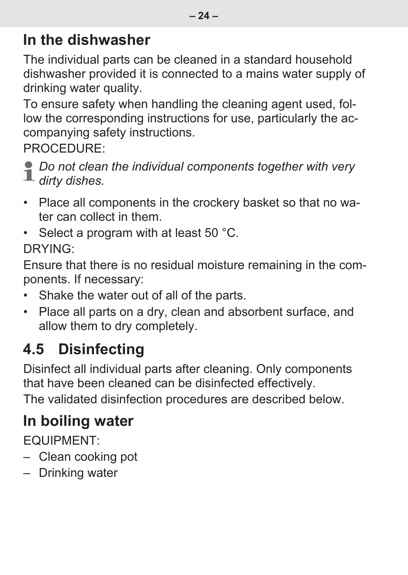### **In the dishwasher**

The individual parts can be cleaned in a standard household dishwasher provided it is connected to a mains water supply of drinking water quality.

To ensure safety when handling the cleaning agent used, follow the corresponding instructions for use, particularly the accompanying safety instructions.

PROCEDURE:

*Do not clean the individual components together with very dirty dishes.*

- Place all components in the crockery basket so that no water can collect in them.
- Select a program with at least 50 °C. DRYING:

Ensure that there is no residual moisture remaining in the components. If necessary:

- Shake the water out of all of the parts.
- Place all parts on a dry, clean and absorbent surface, and allow them to dry completely.

# <span id="page-23-0"></span>**4.5 Disinfecting**

Disinfect all individual parts after cleaning. Only components that have been cleaned can be disinfected effectively.

The validated disinfection procedures are described below.

## **In boiling water**

EQUIPMENT:

- Clean cooking pot
- Drinking water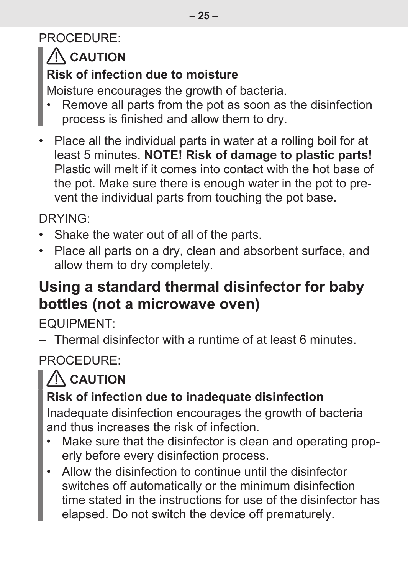#### PROCEDURE:

## **CAUTION**

#### **Risk of infection due to moisture**

Moisture encourages the growth of bacteria.

- Remove all parts from the pot as soon as the disinfection process is finished and allow them to dry.
- Place all the individual parts in water at a rolling boil for at least 5 minutes. **NOTE! Risk of damage to plastic parts!** Plastic will melt if it comes into contact with the hot base of the pot. Make sure there is enough water in the pot to prevent the individual parts from touching the pot base.

DRYING:

- Shake the water out of all of the parts.
- Place all parts on a dry, clean and absorbent surface, and allow them to dry completely.

### **Using a standard thermal disinfector for baby bottles (not a microwave oven)**

EQUIPMENT:

– Thermal disinfector with a runtime of at least 6 minutes.

PROCEDURE:

# **CAUTION**

#### **Risk of infection due to inadequate disinfection**

Inadequate disinfection encourages the growth of bacteria and thus increases the risk of infection.

- Make sure that the disinfector is clean and operating properly before every disinfection process.
- Allow the disinfection to continue until the disinfector switches off automatically or the minimum disinfection time stated in the instructions for use of the disinfector has elapsed. Do not switch the device off prematurely.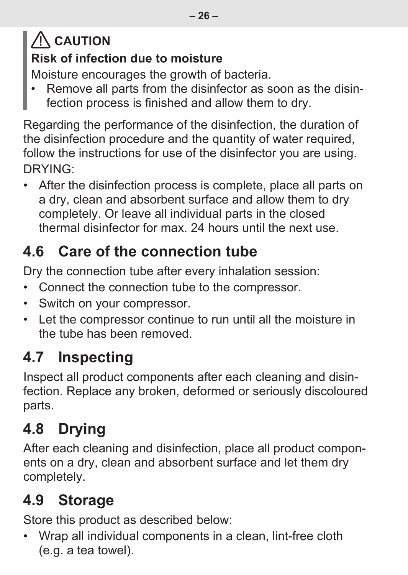# **CAUTION Risk of infection due to moisture**

Moisture encourages the growth of bacteria.

• Remove all parts from the disinfector as soon as the disinfection process is finished and allow them to dry.

Regarding the performance of the disinfection, the duration of the disinfection procedure and the quantity of water required, follow the instructions for use of the disinfector you are using. DRYING:

• After the disinfection process is complete, place all parts on a dry, clean and absorbent surface and allow them to dry completely. Or leave all individual parts in the closed thermal disinfector for max. 24 hours until the next use.

## <span id="page-25-0"></span>**4.6 Care of the connection tube**

Dry the connection tube after every inhalation session:

- Connect the connection tube to the compressor.
- Switch on your compressor.
- Let the compressor continue to run until all the moisture in the tube has been removed.

## <span id="page-25-1"></span>**4.7 Inspecting**

Inspect all product components after each cleaning and disinfection. Replace any broken, deformed or seriously discoloured parts.

# <span id="page-25-2"></span>**4.8 Drying**

After each cleaning and disinfection, place all product components on a dry, clean and absorbent surface and let them dry completely.

# <span id="page-25-3"></span>**4.9 Storage**

Store this product as described below:

• Wrap all individual components in a clean, lint-free cloth (e.g. a tea towel).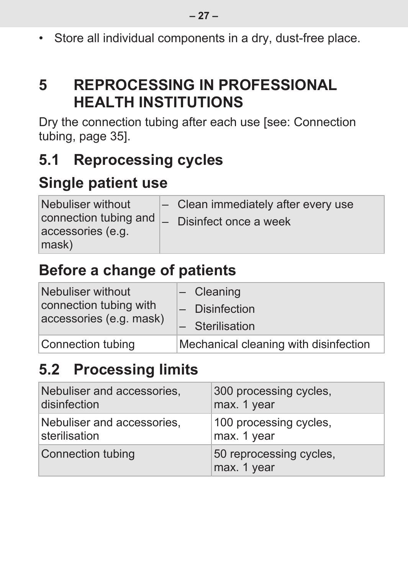• Store all individual components in a dry, dust-free place.

### <span id="page-26-0"></span>**5 REPROCESSING IN PROFESSIONAL HEALTH INSTITUTIONS**

Dry the connection tubing after each use [\[see: Connection](#page-34-0) [tubing, page 35\].](#page-34-0)

### <span id="page-26-1"></span>**5.1 Reprocessing cycles**

### **Single patient use**

| Nebuliser without                          | $\sim$ Clean immediately after every use |
|--------------------------------------------|------------------------------------------|
| connection tubing and<br>accessories (e.g. | $\mathsf{I}$ Disinfect once a week       |
| mask)                                      |                                          |

### **Before a change of patients**

| Nebuliser without<br>connection tubing with<br>accessories (e.g. mask) | $\left  - \right $ Cleaning           |
|------------------------------------------------------------------------|---------------------------------------|
|                                                                        | $-$ Disinfection                      |
|                                                                        | $-$ Sterilisation                     |
| Connection tubing                                                      | Mechanical cleaning with disinfection |

### <span id="page-26-2"></span>**5.2 Processing limits**

| Nebuliser and accessories, | 300 processing cycles.                 |
|----------------------------|----------------------------------------|
| disinfection               | max. 1 year                            |
| Nebuliser and accessories. | 100 processing cycles,                 |
| sterilisation              | max. 1 year                            |
| Connection tubing          | 50 reprocessing cycles,<br>max. 1 year |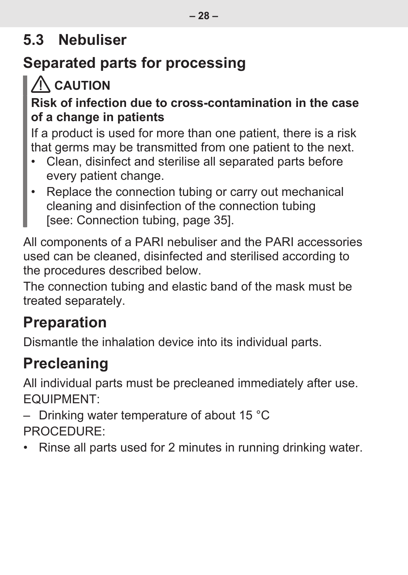### <span id="page-27-0"></span>**5.3 Nebuliser**

## **Separated parts for processing**

## **CAUTION**

#### **Risk of infection due to cross-contamination in the case of a change in patients**

If a product is used for more than one patient, there is a risk that germs may be transmitted from one patient to the next.

- Clean, disinfect and sterilise all separated parts before every patient change.
- Replace the connection tubing or carry out mechanical cleaning and disinfection of the connection tubing [\[see: Connection tubing, page 35\].](#page-34-0)

All components of a PARI nebuliser and the PARI accessories used can be cleaned, disinfected and sterilised according to the procedures described below.

The connection tubing and elastic band of the mask must be treated separately.

### **Preparation**

Dismantle the inhalation device into its individual parts.

## **Precleaning**

All individual parts must be precleaned immediately after use. EQUIPMENT:

– Drinking water temperature of about 15 °C PROCEDURE:

• Rinse all parts used for 2 minutes in running drinking water.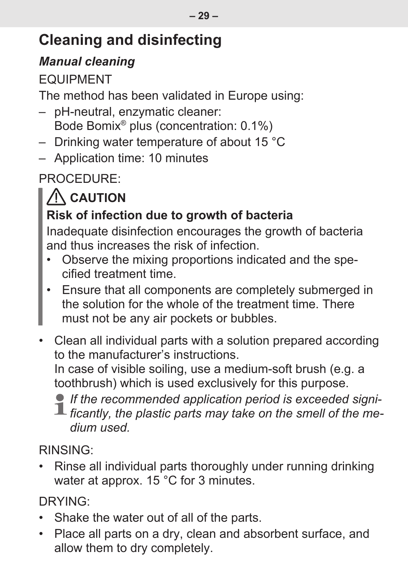## **Cleaning and disinfecting**

#### *Manual cleaning*

#### EQUIPMENT

The method has been validated in Europe using:

- pH-neutral, enzymatic cleaner: Bode Bomix® plus (concentration: 0.1%)
- Drinking water temperature of about 15 °C
- Application time: 10 minutes

PROCEDURE:

# **CAUTION**

#### **Risk of infection due to growth of bacteria**

Inadequate disinfection encourages the growth of bacteria and thus increases the risk of infection.

- Observe the mixing proportions indicated and the specified treatment time.
- Ensure that all components are completely submerged in the solution for the whole of the treatment time. There must not be any air pockets or bubbles.
- Clean all individual parts with a solution prepared according to the manufacturer's instructions. In case of visible soiling, use a medium-soft brush (e.g. a

toothbrush) which is used exclusively for this purpose.

*If the recommended application period is exceeded signi-* $\blacksquare$  ficantly, the plastic parts may take on the smell of the me*dium used.*

#### RINSING:

• Rinse all individual parts thoroughly under running drinking water at approx. 15 °C for 3 minutes.

DRYING:

- Shake the water out of all of the parts.
- Place all parts on a dry, clean and absorbent surface, and allow them to dry completely.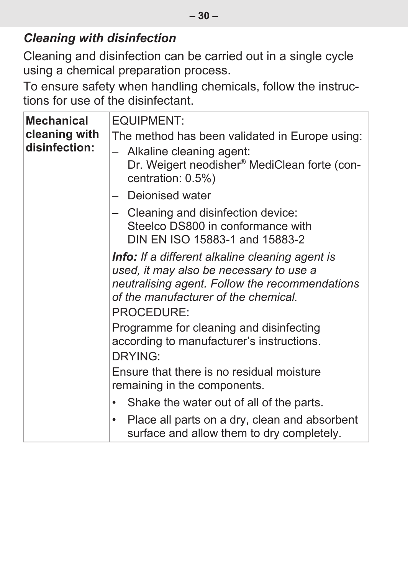Cleaning and disinfection can be carried out in a single cycle using a chemical preparation process.

To ensure safety when handling chemicals, follow the instructions for use of the disinfectant.

| Mechanical<br>cleaning with<br>disinfection: | EQUIPMENT:<br>The method has been validated in Europe using:<br>- Alkaline cleaning agent:<br>Dr. Weigert neodisher® MediClean forte (con-<br>centration: 0.5%)<br>- Deionised water                      |  |  |  |
|----------------------------------------------|-----------------------------------------------------------------------------------------------------------------------------------------------------------------------------------------------------------|--|--|--|
|                                              | - Cleaning and disinfection device:<br>Steelco DS800 in conformance with<br>DIN EN ISO 15883-1 and 15883-2                                                                                                |  |  |  |
|                                              | <b>Info:</b> If a different alkaline cleaning agent is<br>used, it may also be necessary to use a<br>neutralising agent. Follow the recommendations<br>of the manufacturer of the chemical.<br>PROCEDURE: |  |  |  |
|                                              | Programme for cleaning and disinfecting<br>according to manufacturer's instructions.<br>DRYING:                                                                                                           |  |  |  |
|                                              | Ensure that there is no residual moisture<br>remaining in the components.                                                                                                                                 |  |  |  |
|                                              | • Shake the water out of all of the parts.                                                                                                                                                                |  |  |  |
|                                              | Place all parts on a dry, clean and absorbent<br>٠<br>surface and allow them to dry completely.                                                                                                           |  |  |  |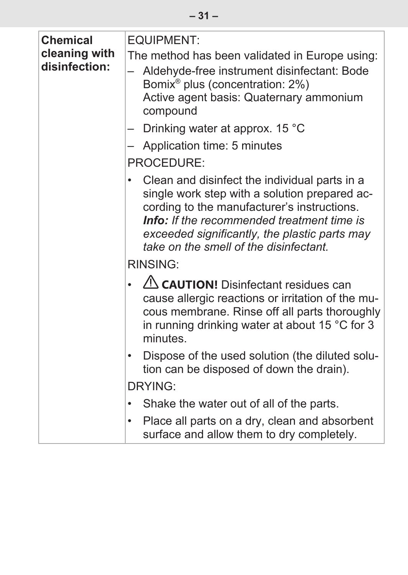| Chemical                       | EQUIPMENT:                                                                                                                                                                                                                                                                                    |  |  |
|--------------------------------|-----------------------------------------------------------------------------------------------------------------------------------------------------------------------------------------------------------------------------------------------------------------------------------------------|--|--|
| cleaning with<br>disinfection: | The method has been validated in Europe using:<br>Aldehyde-free instrument disinfectant: Bode<br>Bomix <sup>®</sup> plus (concentration: 2%)<br>Active agent basis: Quaternary ammonium<br>compound                                                                                           |  |  |
|                                | Drinking water at approx. 15 °C<br>-                                                                                                                                                                                                                                                          |  |  |
|                                | Application time: 5 minutes                                                                                                                                                                                                                                                                   |  |  |
|                                | PROCEDURE:                                                                                                                                                                                                                                                                                    |  |  |
|                                | Clean and disinfect the individual parts in a<br>single work step with a solution prepared ac-<br>cording to the manufacturer's instructions.<br><b>Info:</b> If the recommended treatment time is<br>exceeded significantly, the plastic parts may<br>take on the smell of the disinfectant. |  |  |
|                                | RINSING:                                                                                                                                                                                                                                                                                      |  |  |
|                                | CAUTION! Disinfectant residues can<br>cause allergic reactions or irritation of the mu-<br>cous membrane. Rinse off all parts thoroughly<br>in running drinking water at about 15 $^{\circ}$ C for 3<br>minutes.                                                                              |  |  |
|                                | Dispose of the used solution (the diluted solu-<br>٠<br>tion can be disposed of down the drain).                                                                                                                                                                                              |  |  |
|                                | DRYING:                                                                                                                                                                                                                                                                                       |  |  |
|                                | Shake the water out of all of the parts.<br>٠                                                                                                                                                                                                                                                 |  |  |
|                                | Place all parts on a dry, clean and absorbent<br>٠<br>surface and allow them to dry completely.                                                                                                                                                                                               |  |  |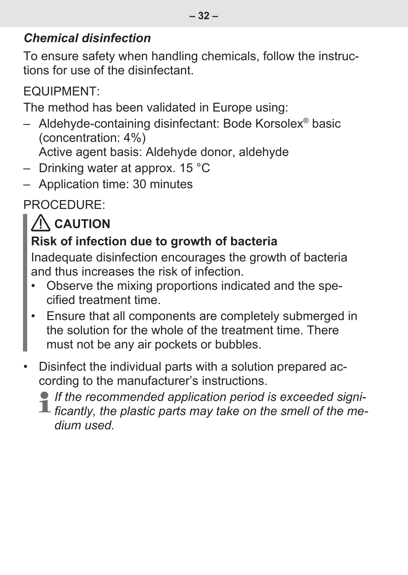#### *Chemical disinfection*

To ensure safety when handling chemicals, follow the instructions for use of the disinfectant.

EQUIPMENT:

The method has been validated in Europe using:

- Aldehyde-containing disinfectant: Bode Korsolex® basic (concentration: 4%)
	- Active agent basis: Aldehyde donor, aldehyde
- Drinking water at approx. 15 °C
- Application time: 30 minutes

PROCEDURE:

# $\Lambda$  caution

#### **Risk of infection due to growth of bacteria**

Inadequate disinfection encourages the growth of bacteria and thus increases the risk of infection.

- Observe the mixing proportions indicated and the specified treatment time.
- Ensure that all components are completely submerged in the solution for the whole of the treatment time. There must not be any air pockets or bubbles.
- Disinfect the individual parts with a solution prepared according to the manufacturer's instructions.

*If the recommended application period is exceeded signi-* $\blacksquare$  ficantly, the plastic parts may take on the smell of the me*dium used.*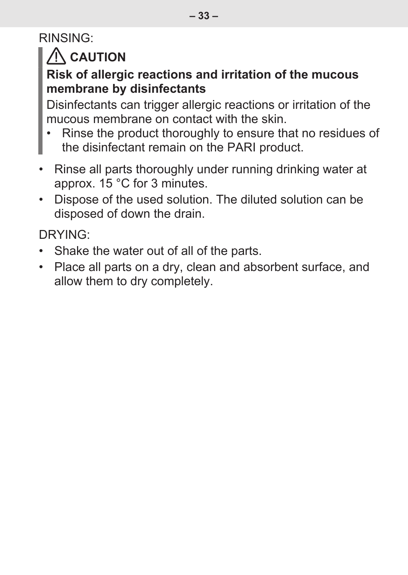### RINSING:

## **CAUTION**

#### **Risk of allergic reactions and irritation of the mucous membrane by disinfectants**

Disinfectants can trigger allergic reactions or irritation of the mucous membrane on contact with the skin.

- Rinse the product thoroughly to ensure that no residues of the disinfectant remain on the PARI product.
- Rinse all parts thoroughly under running drinking water at approx. 15 °C for 3 minutes.
- Dispose of the used solution. The diluted solution can be disposed of down the drain.

DRYING:

- Shake the water out of all of the parts.
- Place all parts on a dry, clean and absorbent surface, and allow them to dry completely.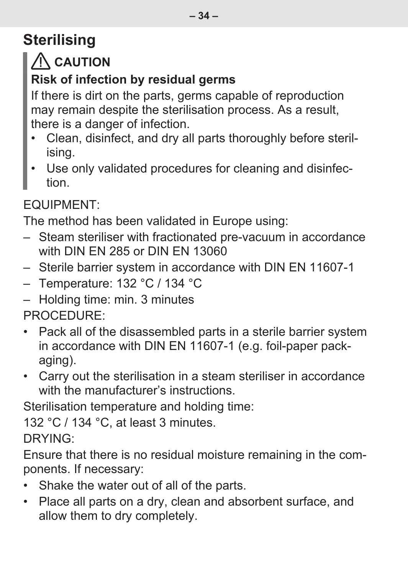# **Sterilising**

## **CAUTION**

#### **Risk of infection by residual germs**

If there is dirt on the parts, germs capable of reproduction may remain despite the sterilisation process. As a result, there is a danger of infection.

- Clean, disinfect, and dry all parts thoroughly before sterilising.
- Use only validated procedures for cleaning and disinfection.

#### EQUIPMENT:

The method has been validated in Europe using:

- Steam steriliser with fractionated pre-vacuum in accordance with DIN EN 285 or DIN EN 13060
- Sterile barrier system in accordance with DIN EN 11607-1
- Temperature: 132 °C / 134 °C
- Holding time: min. 3 minutes

PROCEDURE:

- Pack all of the disassembled parts in a sterile barrier system in accordance with DIN EN 11607-1 (e.g. foil-paper packaging).
- Carry out the sterilisation in a steam steriliser in accordance with the manufacturer's instructions.

Sterilisation temperature and holding time:

132 °C / 134 °C, at least 3 minutes.

DRYING:

Ensure that there is no residual moisture remaining in the components. If necessary:

- Shake the water out of all of the parts.
- Place all parts on a dry, clean and absorbent surface, and allow them to dry completely.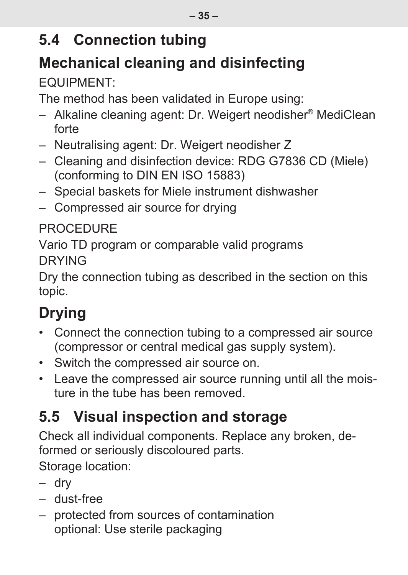### <span id="page-34-0"></span>**5.4 Connection tubing**

# **Mechanical cleaning and disinfecting**

### EQUIPMENT:

The method has been validated in Europe using:

- Alkaline cleaning agent: Dr. Weigert neodisher® MediClean forte
- Neutralising agent: Dr. Weigert neodisher Z
- Cleaning and disinfection device: RDG G7836 CD (Miele) (conforming to DIN EN ISO 15883)
- Special baskets for Miele instrument dishwasher
- Compressed air source for drying

#### **PROCEDURE**

Vario TD program or comparable valid programs DRYING

Dry the connection tubing as described in the section on this topic.

# **Drying**

- Connect the connection tubing to a compressed air source (compressor or central medical gas supply system).
- Switch the compressed air source on.
- Leave the compressed air source running until all the moisture in the tube has been removed.

# <span id="page-34-1"></span>**5.5 Visual inspection and storage**

Check all individual components. Replace any broken, deformed or seriously discoloured parts.

Storage location:

- dry
- dust-free
- protected from sources of contamination optional: Use sterile packaging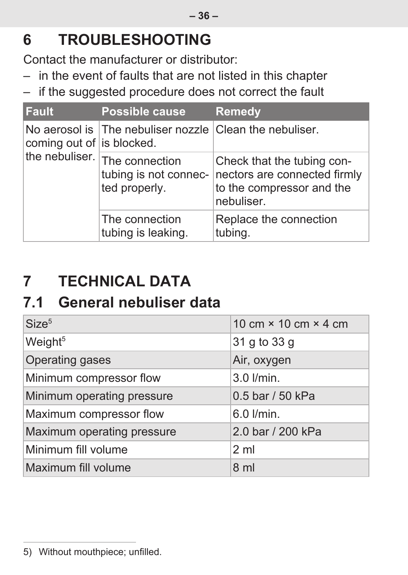## <span id="page-35-0"></span>**6 TROUBLESHOOTING**

Contact the manufacturer or distributor:

- in the event of faults that are not listed in this chapter
- if the suggested procedure does not correct the fault

| <b>Fault</b>                                | Possible cause                                           | <b>Remedy</b>                                                                                         |
|---------------------------------------------|----------------------------------------------------------|-------------------------------------------------------------------------------------------------------|
| coming out of is blocked.<br>the nebuliser. | No aerosol is The nebuliser nozzle Clean the nebuliser.  |                                                                                                       |
|                                             | The connection<br>tubing is not connec-<br>ted properly. | Check that the tubing con-<br>nectors are connected firmly<br>to the compressor and the<br>nebuliser. |
|                                             | The connection<br>tubing is leaking.                     | Replace the connection<br>tubing.                                                                     |

# <span id="page-35-1"></span>**7 TECHNICAL DATA**

### <span id="page-35-2"></span>**7.1 General nebuliser data**

| Size <sup>5</sup>          | 10 cm $\times$ 10 cm $\times$ 4 cm |
|----------------------------|------------------------------------|
| Weight <sup>5</sup>        | 31 g to 33 g                       |
| Operating gases            | Air, oxygen                        |
| Minimum compressor flow    | $3.0$ $l/min$ .                    |
| Minimum operating pressure | 0.5 bar / 50 kPa                   |
| Maximum compressor flow    | 6.0 l/min.                         |
| Maximum operating pressure | 2.0 bar / 200 kPa                  |
| Minimum fill volume        | 2 <sub>m1</sub>                    |
| Maximum fill volume        | 8 <sub>ml</sub>                    |

<sup>5)</sup> Without mouthpiece; unfilled.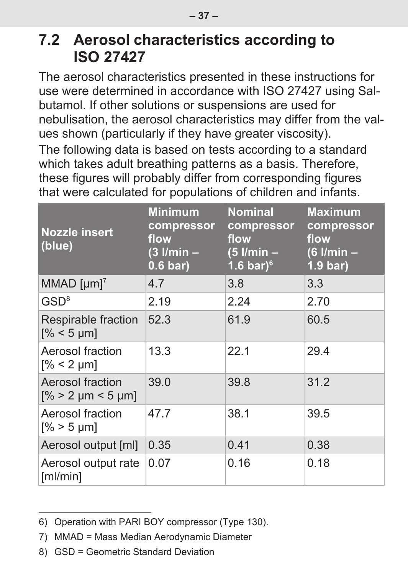### <span id="page-36-0"></span>**7.2 Aerosol characteristics according to ISO 27427**

The aerosol characteristics presented in these instructions for use were determined in accordance with ISO 27427 using Salbutamol. If other solutions or suspensions are used for nebulisation, the aerosol characteristics may differ from the values shown (particularly if they have greater viscosity).

The following data is based on tests according to a standard which takes adult breathing patterns as a basis. Therefore, these figures will probably differ from corresponding figures that were calculated for populations of children and infants.

| <b>Nozzle insert</b><br>(blue)               | Minimum<br>compressor<br>flow<br>(3 l/min –<br>$0.6 \text{ bar}$ | <b>Nominal</b><br>compressor<br>flow<br>$(5$ l/min $-$<br>1.6 bar) $6$ | <b>Maximum</b><br>compressor<br>flow<br>(6 l/min –<br>$1.9 \text{ bar}$ |
|----------------------------------------------|------------------------------------------------------------------|------------------------------------------------------------------------|-------------------------------------------------------------------------|
| MMAD $[µm]$ <sup>7</sup>                     | 4.7                                                              | 3.8                                                                    | 3.3                                                                     |
| GSD <sup>8</sup>                             | 2.19                                                             | 2.24                                                                   | 2.70                                                                    |
| Respirable fraction<br>$[% < 5 \mu m]$       | 52.3                                                             | 61.9                                                                   | 60.5                                                                    |
| Aerosol fraction<br>$\sqrt{8}$ < 2 µm]       | 13.3                                                             | 22.1                                                                   | 29.4                                                                    |
| Aerosol fraction<br>$\sqrt{6}$ > 2 µm < 5 µm | 39.0                                                             | 39.8                                                                   | 31.2                                                                    |
| Aerosol fraction<br>$\sqrt{8}$ > 5 µm        | 47.7                                                             | 38.1                                                                   | 39.5                                                                    |
| Aerosol output [ml]                          | 0.35                                                             | 0.41                                                                   | 0.38                                                                    |
| Aerosol output rate<br>[m]/min]              | 0.07                                                             | 0.16                                                                   | 0.18                                                                    |

<sup>6)</sup> Operation with PARI BOY compressor (Type 130).

<sup>7)</sup> MMAD = Mass Median Aerodynamic Diameter

<sup>8)</sup> GSD = Geometric Standard Deviation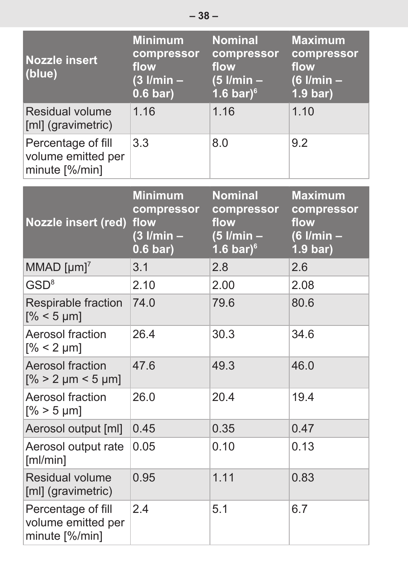| <b>Nozzle insert</b><br>(blue)                             | <b>Minimum</b><br>compressor<br>flow<br>$(3$ l/min $-$<br>$0.6 \text{ bar}$ | <b>Nominal</b><br>compressor<br>flow<br>$(5$ l/min $-$<br>1.6 bar) $6$ | <b>Maximum</b><br>compressor<br>flow<br>$(6$ l/min $-$<br>$1.9 \text{ bar}$ |
|------------------------------------------------------------|-----------------------------------------------------------------------------|------------------------------------------------------------------------|-----------------------------------------------------------------------------|
| Residual volume<br>[ml] (gravimetric)                      | 1.16                                                                        | 1.16                                                                   | 1.10                                                                        |
| Percentage of fill<br>volume emitted per<br>minute [%/min] | 3.3                                                                         | 8.0                                                                    | 9.2                                                                         |
| <b>Nozzle insert (red)</b>                                 | <b>Minimum</b><br>compressor<br>flow<br>$(3$ l/min $-$<br>$0.6 \text{ bar}$ | <b>Nominal</b><br>compressor<br>flow<br>$(5$ l/min $-$<br>1.6 bar) $6$ | <b>Maximum</b><br>compressor<br>flow<br>$(6$ l/min $-$<br>$1.9 \text{ bar}$ |
| MMAD $[µm]$ <sup>7</sup>                                   | 3.1                                                                         | 2.8                                                                    | 2.6                                                                         |
| GSD <sup>8</sup>                                           | 2.10                                                                        | 2.00                                                                   | 2.08                                                                        |
| Respirable fraction<br>$\sqrt{6}$ < 5 µm]                  | 74.0                                                                        | 79.6                                                                   | 80.6                                                                        |
| Aerosol fraction<br>$\sqrt{6}$ < 2 µm                      | 26.4                                                                        | 30.3                                                                   | 34.6                                                                        |
| Aerosol fraction<br>$\frac{9}{6}$ > 2 µm < 5 µm            | 47.6                                                                        | 49.3                                                                   | 46.0                                                                        |
| Aerosol fraction<br>$[% > 5 \mu m]$                        | 26.0                                                                        | 20.4                                                                   | 19.4                                                                        |
| Aerosol output [ml]                                        | 0.45                                                                        | 0.35                                                                   | 0.47                                                                        |
| Aerosol output rate<br>[m]/min]                            | 0.05                                                                        | 0.10                                                                   | 0.13                                                                        |
| Residual volume<br>[ml] (gravimetric)                      | 0.95                                                                        | 1.11                                                                   | 0.83                                                                        |
| Percentage of fill<br>volume emitted per<br>minute [%/min] | 24                                                                          | 5.1                                                                    | 6.7                                                                         |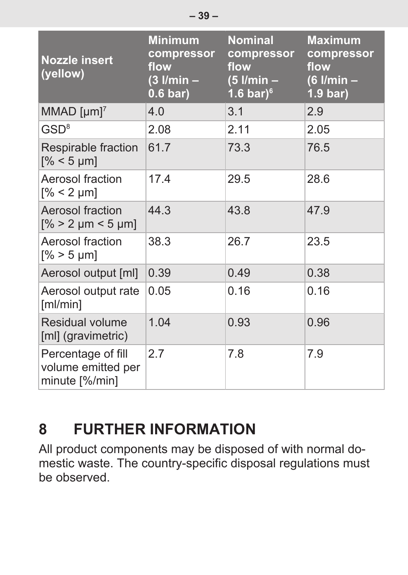| <b>Nozzle insert</b><br>(yellow)                           | <b>Minimum</b><br>compressor<br>flow<br>$(3$ l/min $-$<br>$0.6 \text{ bar}$ | <b>Nominal</b><br>compressor<br>flow<br>$(5$ l/min $-$<br>1.6 bar) $^6$ | <b>Maximum</b><br>compressor<br>flow<br>$(6$ I/min $-$<br>$1.9 \text{ bar}$ |
|------------------------------------------------------------|-----------------------------------------------------------------------------|-------------------------------------------------------------------------|-----------------------------------------------------------------------------|
| MMAD $[µm]$ <sup>7</sup>                                   | 4.0                                                                         | 3.1                                                                     | 2.9                                                                         |
| GSD <sup>8</sup>                                           | 2.08                                                                        | 2.11                                                                    | 2.05                                                                        |
| Respirable fraction<br>$[% < 5 \mu m]$                     | 61.7                                                                        | 73.3                                                                    | 76.5                                                                        |
| Aerosol fraction<br>$\sqrt{8}$ < 2 µm                      | 17.4                                                                        | 29.5                                                                    | 28.6                                                                        |
| Aerosol fraction<br>$\frac{9}{6}$ > 2 µm < 5 µm            | 44.3                                                                        | 43.8                                                                    | 47.9                                                                        |
| Aerosol fraction<br>$\sqrt{8}$ > 5 µm]                     | 38.3                                                                        | 26.7                                                                    | 23.5                                                                        |
| Aerosol output [ml]                                        | 0.39                                                                        | 0.49                                                                    | 0.38                                                                        |
| Aerosol output rate<br>[m]/min]                            | 0.05                                                                        | 0.16                                                                    | 0.16                                                                        |
| Residual volume<br>[ml] (gravimetric)                      | 1.04                                                                        | 0.93                                                                    | 0.96                                                                        |
| Percentage of fill<br>volume emitted per<br>minute [%/min] | 2.7                                                                         | 7.8                                                                     | 7.9                                                                         |

## <span id="page-38-0"></span>**8 FURTHER INFORMATION**

All product components may be disposed of with normal domestic waste. The country-specific disposal regulations must be observed.